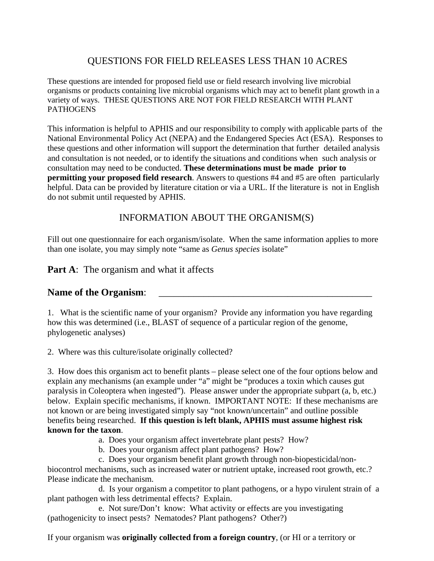# QUESTIONS FOR FIELD RELEASES LESS THAN 10 ACRES

These questions are intended for proposed field use or field research involving live microbial organisms or products containing live microbial organisms which may act to benefit plant growth in a variety of ways. THESE QUESTIONS ARE NOT FOR FIELD RESEARCH WITH PLANT **PATHOGENS** 

This information is helpful to APHIS and our responsibility to comply with applicable parts of the National Environmental Policy Act (NEPA) and the Endangered Species Act (ESA). Responses to these questions and other information will support the determination that further detailed analysis and consultation is not needed, or to identify the situations and conditions when such analysis or consultation may need to be conducted. **These determinations must be made prior to permitting your proposed field research**. Answers to questions #4 and #5 are often particularly helpful. Data can be provided by literature citation or via a URL. If the literature is not in English do not submit until requested by APHIS.

## INFORMATION ABOUT THE ORGANISM(S)

Fill out one questionnaire for each organism/isolate. When the same information applies to more than one isolate, you may simply note "same as *Genus species* isolate"

**Part A:** The organism and what it affects

### Name of the Organism:

1. What is the scientific name of your organism? Provide any information you have regarding how this was determined (i.e., BLAST of sequence of a particular region of the genome, phylogenetic analyses)

2. Where was this culture/isolate originally collected?

3. How does this organism act to benefit plants – please select one of the four options below and explain any mechanisms (an example under "a" might be "produces a toxin which causes gut paralysis in Coleoptera when ingested"). Please answer under the appropriate subpart (a, b, etc.) below. Explain specific mechanisms, if known. IMPORTANT NOTE: If these mechanisms are not known or are being investigated simply say "not known/uncertain" and outline possible benefits being researched. **If this question is left blank, APHIS must assume highest risk known for the taxon**.

- a. Does your organism affect invertebrate plant pests? How?
- b. Does your organism affect plant pathogens? How?

c. Does your organism benefit plant growth through non-biopesticidal/nonbiocontrol mechanisms, such as increased water or nutrient uptake, increased root growth, etc.? Please indicate the mechanism.

d. Is your organism a competitor to plant pathogens, or a hypo virulent strain of a plant pathogen with less detrimental effects? Explain.

e. Not sure/Don't know: What activity or effects are you investigating (pathogenicity to insect pests? Nematodes? Plant pathogens? Other?)

If your organism was **originally collected from a foreign country**, (or HI or a territory or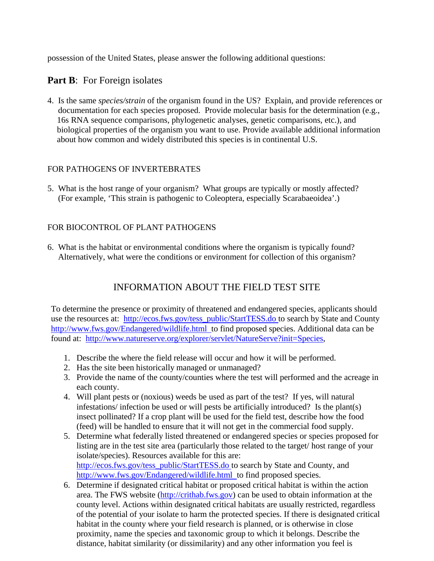possession of the United States, please answer the following additional questions:

### **Part B:** For Foreign isolates

4. Is the same *species/strain* of the organism found in the US? Explain, and provide references or documentation for each species proposed. Provide molecular basis for the determination (e.g., 16s RNA sequence comparisons, phylogenetic analyses, genetic comparisons, etc.), and biological properties of the organism you want to use. Provide available additional information about how common and widely distributed this species is in continental U.S.

#### FOR PATHOGENS OF INVERTEBRATES

5. What is the host range of your organism? What groups are typically or mostly affected? (For example, 'This strain is pathogenic to Coleoptera, especially Scarabaeoidea'.)

### FOR BIOCONTROL OF PLANT PATHOGENS

6. What is the habitat or environmental conditions where the organism is typically found? Alternatively, what were the conditions or environment for collection of this organism?

# INFORMATION ABOUT THE FIELD TEST SITE

To determine the presence or proximity of threatened and endangered species, applicants should use the resources at: [http://ecos.fws.gov/tess\\_public/StartTESS.do](http://ecos.fws.gov/tess_public/StartTESS.do) to search by State and County <http://www.fws.gov/Endangered/wildlife.html> to find proposed species. Additional data can be found at: [http://www.natureserve.org/explorer/servlet/NatureServe?init=Species,](http://www.natureserve.org/explorer/servlet/NatureServe?init=Species)

- 1. Describe the where the field release will occur and how it will be performed.
- 2. Has the site been historically managed or unmanaged?
- 3. Provide the name of the county/counties where the test will performed and the acreage in each county.
- 4. Will plant pests or (noxious) weeds be used as part of the test? If yes, will natural infestations/ infection be used or will pests be artificially introduced? Is the plant(s) insect pollinated? If a crop plant will be used for the field test, describe how the food (feed) will be handled to ensure that it will not get in the commercial food supply.
- 5. Determine what federally listed threatened or endangered species or species proposed for listing are in the test site area (particularly those related to the target/ host range of your isolate/species). Resources available for this are: [http://ecos.fws.gov/tess\\_public/StartTESS.do](http://ecos.fws.gov/tess_public/StartTESS.do) to search by State and County, and <http://www.fws.gov/Endangered/wildlife.html> to find proposed species.
- 6. Determine if designated critical habitat or proposed critical habitat is within the action area. The FWS website [\(http://crithab.fws.gov\)](http://crithab.fws.gov/) can be used to obtain information at the county level. Actions within designated critical habitats are usually restricted, regardless of the potential of your isolate to harm the protected species. If there is designated critical habitat in the county where your field research is planned, or is otherwise in close proximity, name the species and taxonomic group to which it belongs. Describe the distance, habitat similarity (or dissimilarity) and any other information you feel is